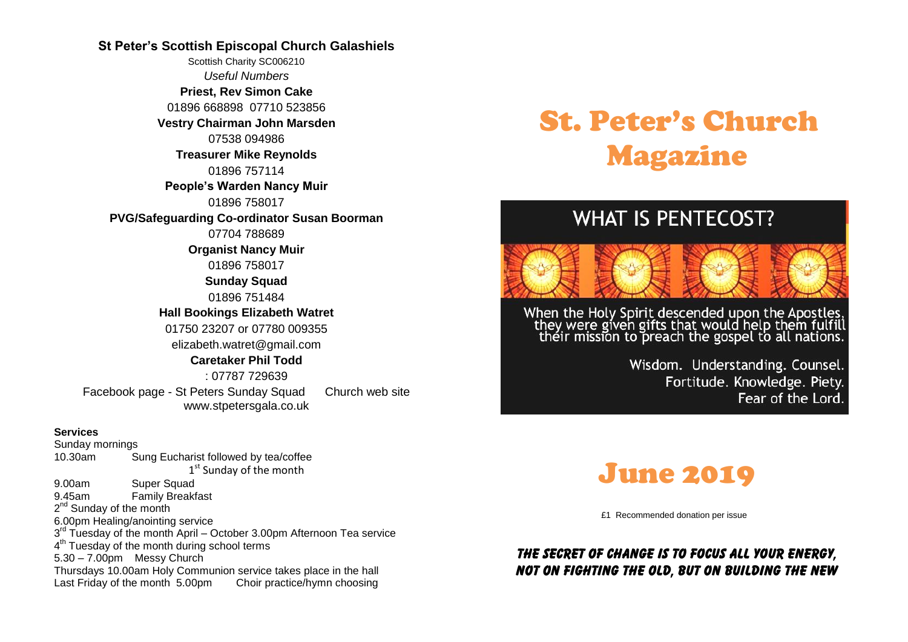#### **St Peter's Scottish Episcopal Church Galashiels**

Scottish Charity SC006210 *Useful Numbers*  **Priest, Rev Simon Cake** 01896 668898 07710 523856 **Vestry Chairman John Marsden** 07538 094986 **Treasurer Mike Reynolds** 01896 757114 **People's Warden Nancy Muir** 01896 758017 **PVG/Safeguarding Co-ordinator Susan Boorman** 07704 788689 **Organist Nancy Muir** 01896 758017 **Sunday Squad** 01896 751484 **Hall Bookings Elizabeth Watret** 01750 23207 or 07780 009355 elizabeth.watret@gmail.com **Caretaker Phil Todd** : 07787 729639 Facebook page - St Peters Sunday Squad Church web site www.stpetersgala.co.uk

#### **Services**

Sunday mornings 10.30am Sung Eucharist followed by tea/coffee 1<sup>st</sup> Sunday of the month 9.00am Super Squad 9.45am Family Breakfast 2<sup>nd</sup> Sunday of the month 6.00pm Healing/anointing service 3<sup>rd</sup> Tuesday of the month April - October 3.00pm Afternoon Tea service 4<sup>th</sup> Tuesday of the month during school terms 5.30 – 7.00pm Messy Church Thursdays 10.00am Holy Communion service takes place in the hall Last Friday of the month 5.00pm Choir practice/hymn choosing

# St. Peter's Church Magazine

# **WHAT IS PENTECOST?**



When the Holy Spirit descended upon the Apostles,<br>they were given gifts that would help them fulfill<br>their mission to preach the gospel to all nations.

Wisdom. Understanding. Counsel. Fortitude. Knowledge. Piety. Fear of the Lord.



£1 Recommended donation per issue

## *The secret of change is to focus all your energy, not on fighting the old, but on building the new*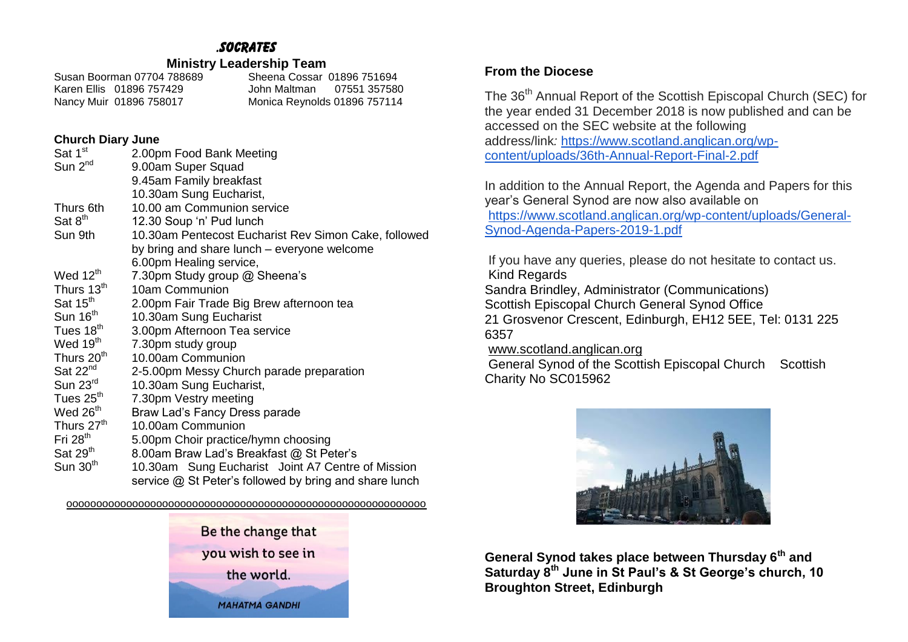# *.socrates*

#### **Ministry Leadership Team**

Susan Boorman 07704 788689 Sheena Cossar 01896 751694<br>Karen Ellis 01896 757429 Sheena Maltman 07551 35758 John Maltman 07551 357580 Nancy Muir 01896 758017 Monica Reynolds 01896 757114

#### **Church Diary June**

| Sat 1 <sup>st</sup>    | 2.00pm Food Bank Meeting                               |
|------------------------|--------------------------------------------------------|
| Sun $2^{nd}$           | 9.00am Super Squad                                     |
|                        | 9.45am Family breakfast                                |
|                        | 10.30am Sung Eucharist,                                |
| Thurs 6th              | 10.00 am Communion service                             |
| Sat 8 <sup>th</sup>    | 12.30 Soup 'n' Pud lunch                               |
| Sun 9th                | 10.30am Pentecost Eucharist Rev Simon Cake, followed   |
|                        | by bring and share lunch – everyone welcome            |
|                        | 6.00pm Healing service,                                |
| Wed $12th$             | 7.30pm Study group @ Sheena's                          |
| Thurs 13 <sup>th</sup> | 10am Communion                                         |
| Sat 15 <sup>th</sup>   | 2.00pm Fair Trade Big Brew afternoon tea               |
| Sun 16 <sup>th</sup>   | 10.30am Sung Eucharist                                 |
| Tues 18 <sup>th</sup>  | 3.00pm Afternoon Tea service                           |
| Wed 19 <sup>th</sup>   | 7.30pm study group                                     |
| Thurs 20 <sup>th</sup> | 10.00am Communion                                      |
| Sat $22^{nd}$          | 2-5.00pm Messy Church parade preparation               |
| Sun $23^{\text{rd}}$   | 10.30am Sung Eucharist,                                |
| Tues 25 <sup>th</sup>  | 7.30pm Vestry meeting                                  |
| Wed $26th$             | Braw Lad's Fancy Dress parade                          |
| Thurs 27 <sup>th</sup> | 10.00am Communion                                      |
| Fri $28th$             | 5.00pm Choir practice/hymn choosing                    |
| Sat 29 <sup>th</sup>   | 8.00am Braw Lad's Breakfast @ St Peter's               |
| Sun $30th$             | 10.30am Sung Eucharist Joint A7 Centre of Mission      |
|                        | service @ St Peter's followed by bring and share lunch |

oooooooooooooooooooooooooooooooooooooooooooooooooooooooooooo



### **From the Diocese**

The 36<sup>th</sup> Annual Report of the Scottish Episcopal Church (SEC) for the year ended 31 December 2018 is now published and can be accessed on the SEC website at the following address/link*:* [https://www.scotland.anglican.org/wp](https://www.scotland.anglican.org/wp-content/uploads/36th-Annual-Report-Final-2.pdf)[content/uploads/36th-Annual-Report-Final-2.pdf](https://www.scotland.anglican.org/wp-content/uploads/36th-Annual-Report-Final-2.pdf)

In addition to the Annual Report, the Agenda and Papers for this year's General Synod are now also available on [https://www.scotland.anglican.org/wp-content/uploads/General-](https://www.scotland.anglican.org/wp-content/uploads/General-Synod-Agenda-Papers-2019-1.pdf)[Synod-Agenda-Papers-2019-1.pdf](https://www.scotland.anglican.org/wp-content/uploads/General-Synod-Agenda-Papers-2019-1.pdf)

If you have any queries, please do not hesitate to contact us. Kind Regards Sandra Brindley, Administrator (Communications) Scottish Episcopal Church General Synod Office 21 Grosvenor Crescent, Edinburgh, EH12 5EE, Tel: 0131 225 6357 [www.scotland.anglican.org](http://www.scotland.anglican.org/)

General Synod of the Scottish Episcopal Church Scottish Charity No SC015962



**General Synod takes place between Thursday 6th and Saturday 8th June in St Paul's & St George's church, 10 Broughton Street, Edinburgh**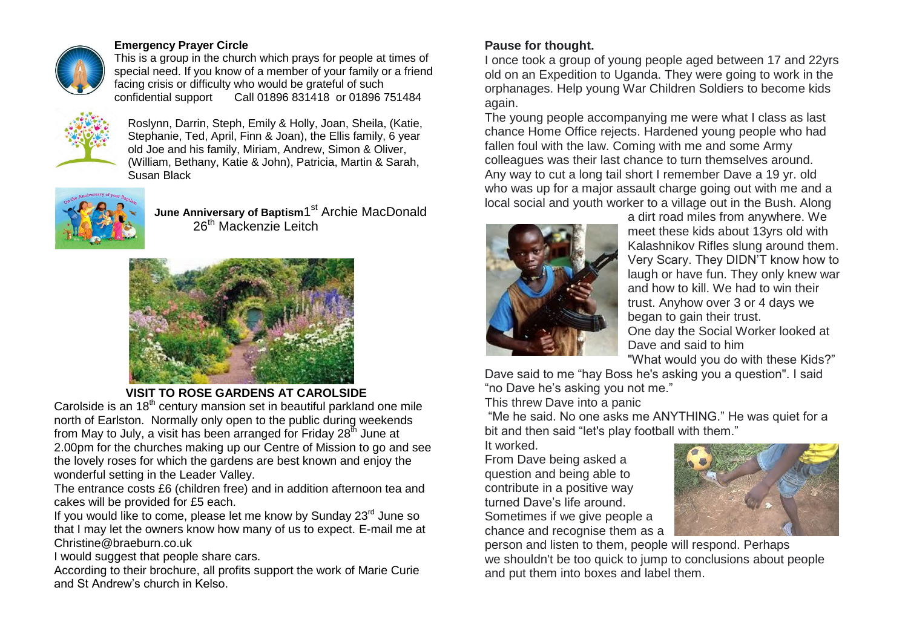

#### **Emergency Prayer Circle**

This is a group in the church which prays for people at times of special need. If you know of a member of your family or a friend facing crisis or difficulty who would be grateful of such confidential support Call 01896 831418 or 01896 Call 01896 831418 or 01896 751484



Roslynn, Darrin, Steph, Emily & Holly, Joan, Sheila, (Katie, Stephanie, Ted, April, Finn & Joan), the Ellis family, 6 year old Joe and his family, Miriam, Andrew, Simon & Oliver, (William, Bethany, Katie & John), Patricia, Martin & Sarah, Susan Black



June Anniversary of Baptism1<sup>st</sup> Archie MacDonald 26<sup>th</sup> Mackenzie Leitch



**VISIT TO ROSE GARDENS AT CAROLSIDE**

Carolside is an  $18<sup>th</sup>$  century mansion set in beautiful parkland one mile north of Earlston. Normally only open to the public during weekends from May to July, a visit has been arranged for Friday  $28<sup>th</sup>$  June at 2.00pm for the churches making up our Centre of Mission to go and see the lovely roses for which the gardens are best known and enjoy the wonderful setting in the Leader Valley.

The entrance costs £6 (children free) and in addition afternoon tea and cakes will be provided for £5 each.

If you would like to come, please let me know by Sunday  $23<sup>rd</sup>$  June so that I may let the owners know how many of us to expect. E-mail me at Christine@braeburn.co.uk

I would suggest that people share cars.

According to their brochure, all profits support the work of Marie Curie and St Andrew's church in Kelso.

# **Pause for thought.**

I once took a group of young people aged between 17 and 22yrs old on an Expedition to Uganda. They were going to work in the orphanages. Help young War Children Soldiers to become kids again.

The young people accompanying me were what I class as last chance Home Office rejects. Hardened young people who had fallen foul with the law. Coming with me and some Army colleagues was their last chance to turn themselves around. Any way to cut a long tail short I remember Dave a 19 yr. old who was up for a major assault charge going out with me and a local social and youth worker to a village out in the Bush. Along



a dirt road miles from anywhere. We meet these kids about 13yrs old with Kalashnikov Rifles slung around them. Very Scary. They DIDN'T know how to laugh or have fun. They only knew war and how to kill. We had to win their trust. Anyhow over 3 or 4 days we began to gain their trust. One day the Social Worker looked at Dave and said to him "What would you do with these Kids?"

Dave said to me "hay Boss he's asking you a question". I said "no Dave he's asking you not me."

This threw Dave into a panic

"Me he said. No one asks me ANYTHING." He was quiet for a bit and then said "let's play football with them."

It worked.

From Dave being asked a question and being able to contribute in a positive way turned Dave's life around. Sometimes if we give people a chance and recognise them as a



person and listen to them, people will respond. Perhaps we shouldn't be too quick to jump to conclusions about people and put them into boxes and label them.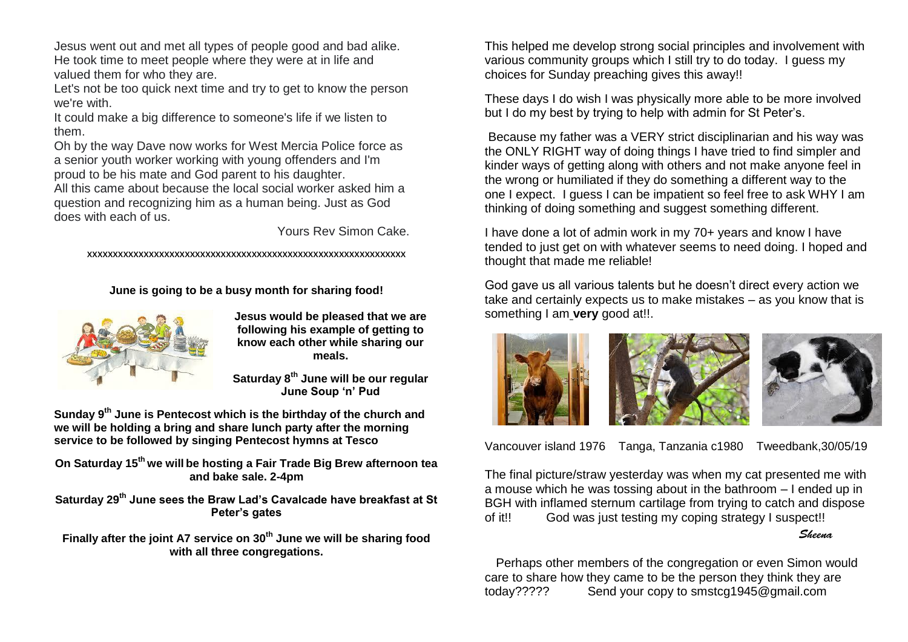Jesus went out and met all types of people good and bad alike. He took time to meet people where they were at in life and valued them for who they are.

Let's not be too quick next time and try to get to know the person we're with.

It could make a big difference to someone's life if we listen to them.

Oh by the way Dave now works for West Mercia Police force as a senior youth worker working with young offenders and I'm proud to be his mate and God parent to his daughter.

All this came about because the local social worker asked him a question and recognizing him as a human being. Just as God does with each of us.

Yours Rev Simon Cake.

xxxxxxxxxxxxxxxxxxxxxxxxxxxxxxxxxxxxxxxxxxxxxxxxxxxxxxxxxxxxxx

**June is going to be a busy month for sharing food!**



**Jesus would be pleased that we are following his example of getting to know each other while sharing our meals.**

**Saturday 8th June will be our regular June Soup 'n' Pud**

**Sunday 9th June is Pentecost which is the birthday of the church and we will be holding a bring and share lunch party after the morning service to be followed by singing Pentecost hymns at Tesco**

**On Saturday 15th we will be hosting a Fair Trade Big Brew afternoon tea and bake sale. 2-4pm**

**Saturday 29th June sees the Braw Lad's Cavalcade have breakfast at St Peter's gates**

**Finally after the joint A7 service on 30th June we will be sharing food with all three congregations.**

This helped me develop strong social principles and involvement with various community groups which I still try to do today. I guess my choices for Sunday preaching gives this away!!

These days I do wish I was physically more able to be more involved but I do my best by trying to help with admin for St Peter's.

Because my father was a VERY strict disciplinarian and his way was the ONLY RIGHT way of doing things I have tried to find simpler and kinder ways of getting along with others and not make anyone feel in the wrong or humiliated if they do something a different way to the one I expect. I guess I can be impatient so feel free to ask WHY I am thinking of doing something and suggest something different.

I have done a lot of admin work in my 70+ years and know I have tended to just get on with whatever seems to need doing. I hoped and thought that made me reliable!

God gave us all various talents but he doesn't direct every action we take and certainly expects us to make mistakes – as you know that is something I am **very** good at!!.



Vancouver island 1976 Tanga, Tanzania c1980 Tweedbank,30/05/19

The final picture/straw yesterday was when my cat presented me with a mouse which he was tossing about in the bathroom – I ended up in BGH with inflamed sternum cartilage from trying to catch and dispose of it!! God was just testing my coping strategy I suspect!!

#### Sheena

 Perhaps other members of the congregation or even Simon would care to share how they came to be the person they think they are today????? Send your copy to smstcg1945@gmail.com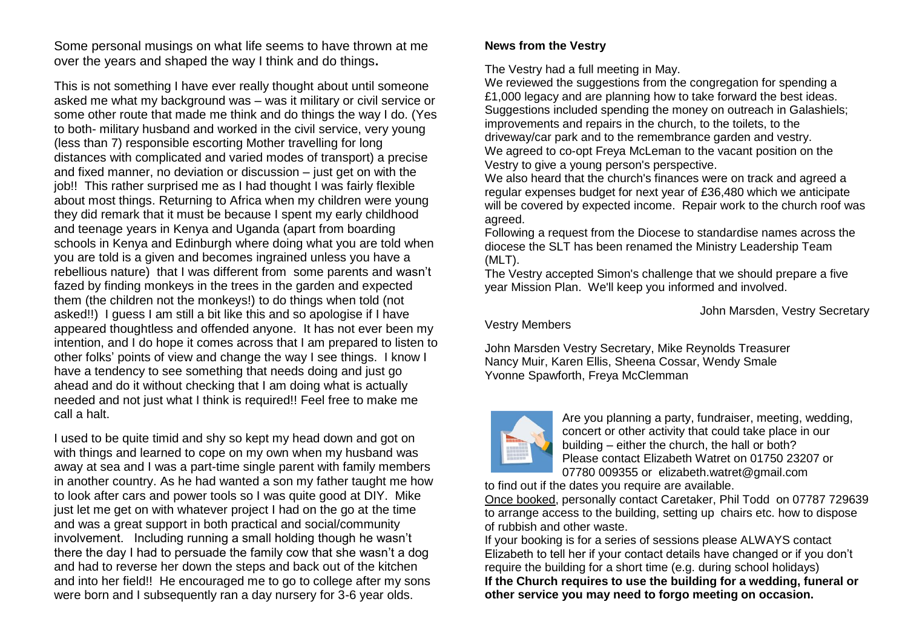Some personal musings on what life seems to have thrown at me over the years and shaped the way I think and do things**.**

This is not something I have ever really thought about until someone asked me what my background was – was it military or civil service or some other route that made me think and do things the way I do. (Yes to both- military husband and worked in the civil service, very young (less than 7) responsible escorting Mother travelling for long distances with complicated and varied modes of transport) a precise and fixed manner, no deviation or discussion – just get on with the job!! This rather surprised me as I had thought I was fairly flexible about most things. Returning to Africa when my children were young they did remark that it must be because I spent my early childhood and teenage years in Kenya and Uganda (apart from boarding schools in Kenya and Edinburgh where doing what you are told when you are told is a given and becomes ingrained unless you have a rebellious nature) that I was different from some parents and wasn't fazed by finding monkeys in the trees in the garden and expected them (the children not the monkeys!) to do things when told (not asked!!) I guess I am still a bit like this and so apologise if I have appeared thoughtless and offended anyone. It has not ever been my intention, and I do hope it comes across that I am prepared to listen to other folks' points of view and change the way I see things. I know I have a tendency to see something that needs doing and just go ahead and do it without checking that I am doing what is actually needed and not just what I think is required!! Feel free to make me call a halt.

I used to be quite timid and shy so kept my head down and got on with things and learned to cope on my own when my husband was away at sea and I was a part-time single parent with family members in another country. As he had wanted a son my father taught me how to look after cars and power tools so I was quite good at DIY. Mike just let me get on with whatever project I had on the go at the time and was a great support in both practical and social/community involvement. Including running a small holding though he wasn't there the day I had to persuade the family cow that she wasn't a dog and had to reverse her down the steps and back out of the kitchen and into her field!! He encouraged me to go to college after my sons were born and I subsequently ran a day nursery for 3-6 year olds.

#### **News from the Vestry**

The Vestry had a full meeting in May.

We reviewed the suggestions from the congregation for spending a £1,000 legacy and are planning how to take forward the best ideas. Suggestions included spending the money on outreach in Galashiels: improvements and repairs in the church, to the toilets, to the driveway/car park and to the remembrance garden and vestry. We agreed to co-opt Freya McLeman to the vacant position on the Vestry to give a young person's perspective.

We also heard that the church's finances were on track and agreed a regular expenses budget for next year of £36,480 which we anticipate will be covered by expected income. Repair work to the church roof was agreed.

Following a request from the Diocese to standardise names across the diocese the SLT has been renamed the Ministry Leadership Team (MLT).

The Vestry accepted Simon's challenge that we should prepare a five year Mission Plan. We'll keep you informed and involved.

John Marsden, Vestry Secretary

Vestry Members

John Marsden Vestry Secretary, Mike Reynolds Treasurer Nancy Muir, Karen Ellis, Sheena Cossar, Wendy Smale Yvonne Spawforth, Freya McClemman



Are you planning a party, fundraiser, meeting, wedding, concert or other activity that could take place in our building – either the church, the hall or both? Please contact Elizabeth Watret on 01750 23207 or 07780 009355 or elizabeth.watret@gmail.com

to find out if the dates you require are available.

Once booked, personally contact Caretaker, Phil Todd on 07787 729639 to arrange access to the building, setting up chairs etc. how to dispose of rubbish and other waste.

If your booking is for a series of sessions please ALWAYS contact Elizabeth to tell her if your contact details have changed or if you don't require the building for a short time (e.g. during school holidays) **If the Church requires to use the building for a wedding, funeral or other service you may need to forgo meeting on occasion.**